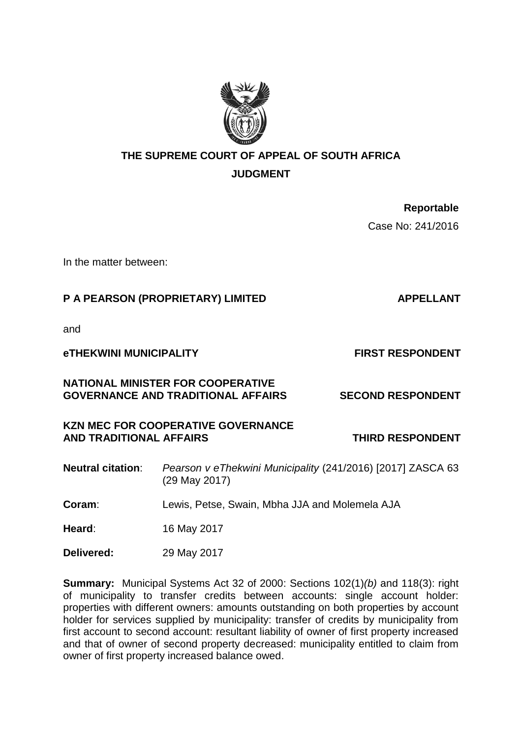

# **THE SUPREME COURT OF APPEAL OF SOUTH AFRICA**

**JUDGMENT**

**Reportable**

Case No: 241/2016

In the matter between:

## **P A PEARSON (PROPRIETARY) LIMITED APPELLANT**

and

**eTHEKWINI MUNICIPALITY FIRST RESPONDENT**

## **NATIONAL MINISTER FOR COOPERATIVE GOVERNANCE AND TRADITIONAL AFFAIRS SECOND RESPONDENT**

## **KZN MEC FOR COOPERATIVE GOVERNANCE** AND TRADITIONAL AFFAIRS **THIRD RESPONDENT**

**Neutral citation**: *Pearson v eThekwini Municipality* (241/2016) [2017] ZASCA 63 (29 May 2017)

**Coram**: Lewis, Petse, Swain, Mbha JJA and Molemela AJA

**Heard**: 16 May 2017

**Delivered:** 29 May 2017

**Summary:** Municipal Systems Act 32 of 2000: Sections 102(1)*(b)* and 118(3): right of municipality to transfer credits between accounts: single account holder: properties with different owners: amounts outstanding on both properties by account holder for services supplied by municipality: transfer of credits by municipality from first account to second account: resultant liability of owner of first property increased and that of owner of second property decreased: municipality entitled to claim from owner of first property increased balance owed.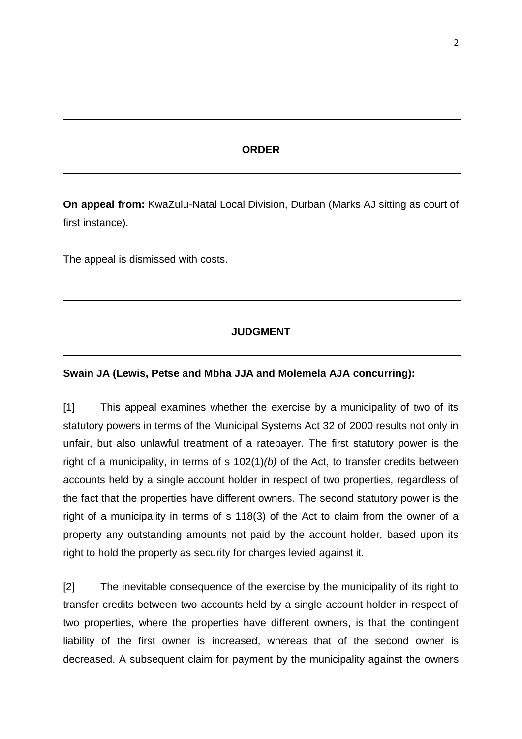#### **ORDER**

**On appeal from:** KwaZulu-Natal Local Division, Durban (Marks AJ sitting as court of first instance).

The appeal is dismissed with costs.

### **JUDGMENT**

#### **Swain JA (Lewis, Petse and Mbha JJA and Molemela AJA concurring):**

[1] This appeal examines whether the exercise by a municipality of two of its statutory powers in terms of the Municipal Systems Act 32 of 2000 results not only in unfair, but also unlawful treatment of a ratepayer. The first statutory power is the right of a municipality, in terms of s 102(1)*(b)* of the Act, to transfer credits between accounts held by a single account holder in respect of two properties, regardless of the fact that the properties have different owners. The second statutory power is the right of a municipality in terms of s 118(3) of the Act to claim from the owner of a property any outstanding amounts not paid by the account holder, based upon its right to hold the property as security for charges levied against it.

[2] The inevitable consequence of the exercise by the municipality of its right to transfer credits between two accounts held by a single account holder in respect of two properties, where the properties have different owners, is that the contingent liability of the first owner is increased, whereas that of the second owner is decreased. A subsequent claim for payment by the municipality against the owners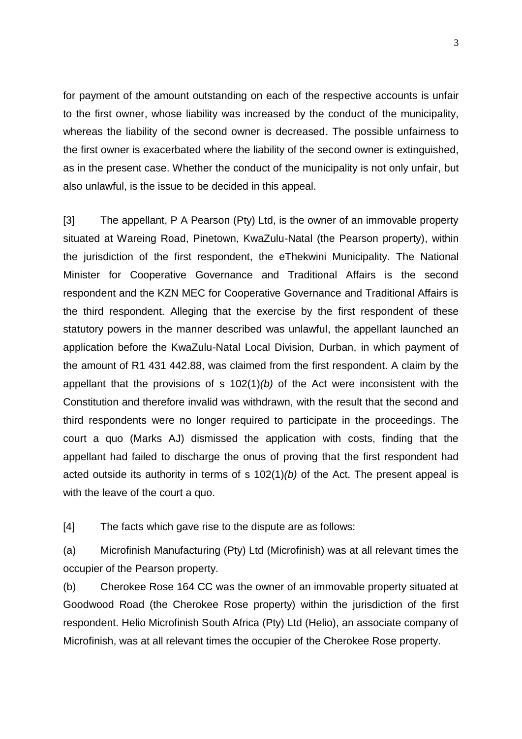for payment of the amount outstanding on each of the respective accounts is unfair to the first owner, whose liability was increased by the conduct of the municipality, whereas the liability of the second owner is decreased. The possible unfairness to the first owner is exacerbated where the liability of the second owner is extinguished, as in the present case. Whether the conduct of the municipality is not only unfair, but also unlawful, is the issue to be decided in this appeal.

[3] The appellant, P A Pearson (Pty) Ltd, is the owner of an immovable property situated at Wareing Road, Pinetown, KwaZulu-Natal (the Pearson property), within the jurisdiction of the first respondent, the eThekwini Municipality. The National Minister for Cooperative Governance and Traditional Affairs is the second respondent and the KZN MEC for Cooperative Governance and Traditional Affairs is the third respondent. Alleging that the exercise by the first respondent of these statutory powers in the manner described was unlawful, the appellant launched an application before the KwaZulu-Natal Local Division, Durban, in which payment of the amount of R1 431 442.88, was claimed from the first respondent. A claim by the appellant that the provisions of s 102(1)*(b)* of the Act were inconsistent with the Constitution and therefore invalid was withdrawn, with the result that the second and third respondents were no longer required to participate in the proceedings. The court a quo (Marks AJ) dismissed the application with costs, finding that the appellant had failed to discharge the onus of proving that the first respondent had acted outside its authority in terms of s 102(1)*(b)* of the Act. The present appeal is with the leave of the court a quo.

[4] The facts which gave rise to the dispute are as follows:

(a) Microfinish Manufacturing (Pty) Ltd (Microfinish) was at all relevant times the occupier of the Pearson property.

(b) Cherokee Rose 164 CC was the owner of an immovable property situated at Goodwood Road (the Cherokee Rose property) within the jurisdiction of the first respondent. Helio Microfinish South Africa (Pty) Ltd (Helio), an associate company of Microfinish, was at all relevant times the occupier of the Cherokee Rose property.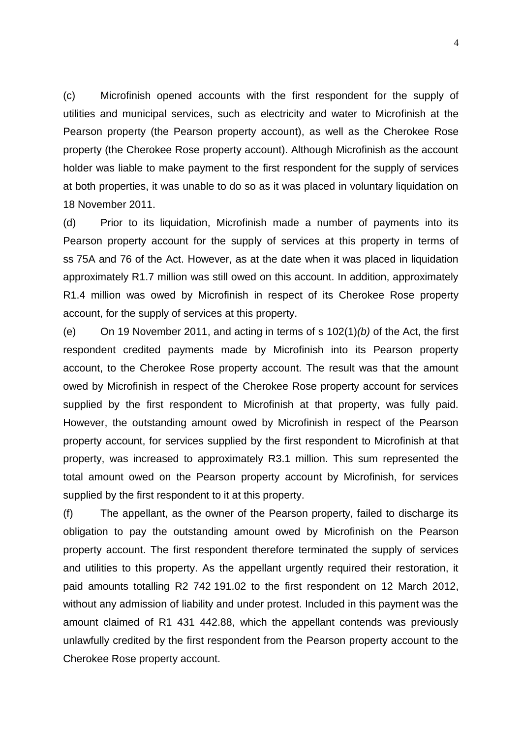(c) Microfinish opened accounts with the first respondent for the supply of utilities and municipal services, such as electricity and water to Microfinish at the Pearson property (the Pearson property account), as well as the Cherokee Rose property (the Cherokee Rose property account). Although Microfinish as the account holder was liable to make payment to the first respondent for the supply of services at both properties, it was unable to do so as it was placed in voluntary liquidation on 18 November 2011.

(d) Prior to its liquidation, Microfinish made a number of payments into its Pearson property account for the supply of services at this property in terms of ss 75A and 76 of the Act. However, as at the date when it was placed in liquidation approximately R1.7 million was still owed on this account. In addition, approximately R1.4 million was owed by Microfinish in respect of its Cherokee Rose property account, for the supply of services at this property.

(e) On 19 November 2011, and acting in terms of s 102(1)*(b)* of the Act, the first respondent credited payments made by Microfinish into its Pearson property account, to the Cherokee Rose property account. The result was that the amount owed by Microfinish in respect of the Cherokee Rose property account for services supplied by the first respondent to Microfinish at that property, was fully paid. However, the outstanding amount owed by Microfinish in respect of the Pearson property account, for services supplied by the first respondent to Microfinish at that property, was increased to approximately R3.1 million. This sum represented the total amount owed on the Pearson property account by Microfinish, for services supplied by the first respondent to it at this property.

(f) The appellant, as the owner of the Pearson property, failed to discharge its obligation to pay the outstanding amount owed by Microfinish on the Pearson property account. The first respondent therefore terminated the supply of services and utilities to this property. As the appellant urgently required their restoration, it paid amounts totalling R2 742 191.02 to the first respondent on 12 March 2012, without any admission of liability and under protest. Included in this payment was the amount claimed of R1 431 442.88, which the appellant contends was previously unlawfully credited by the first respondent from the Pearson property account to the Cherokee Rose property account.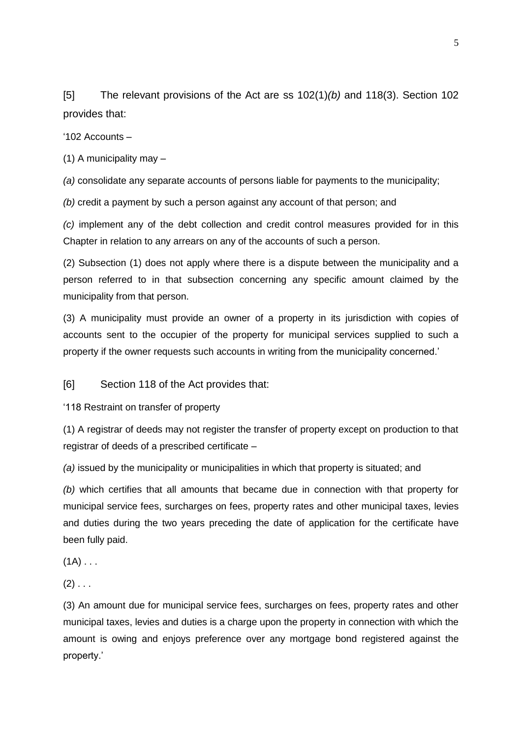[5] The relevant provisions of the Act are ss 102(1)*(b)* and 118(3). Section 102 provides that:

'102 Accounts –

(1) A municipality may –

*(a)* consolidate any separate accounts of persons liable for payments to the municipality;

*(b)* credit a payment by such a person against any account of that person; and

*(c)* implement any of the debt collection and credit control measures provided for in this Chapter in relation to any arrears on any of the accounts of such a person.

(2) Subsection (1) does not apply where there is a dispute between the municipality and a person referred to in that subsection concerning any specific amount claimed by the municipality from that person.

(3) A municipality must provide an owner of a property in its jurisdiction with copies of accounts sent to the occupier of the property for municipal services supplied to such a property if the owner requests such accounts in writing from the municipality concerned.'

[6] Section 118 of the Act provides that:

'118 Restraint on transfer of property

(1) A registrar of deeds may not register the transfer of property except on production to that registrar of deeds of a prescribed certificate –

*(a)* issued by the municipality or municipalities in which that property is situated; and

*(b)* which certifies that all amounts that became due in connection with that property for municipal service fees, surcharges on fees, property rates and other municipal taxes, levies and duties during the two years preceding the date of application for the certificate have been fully paid.

 $(1A)$  . . .

 $(2)$  . . .

(3) An amount due for municipal service fees, surcharges on fees, property rates and other municipal taxes, levies and duties is a charge upon the property in connection with which the amount is owing and enjoys preference over any mortgage bond registered against the property.'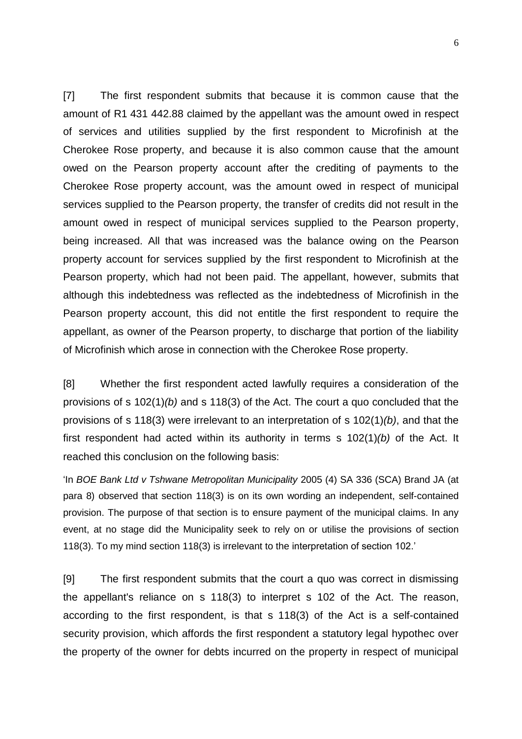[7] The first respondent submits that because it is common cause that the amount of R1 431 442.88 claimed by the appellant was the amount owed in respect of services and utilities supplied by the first respondent to Microfinish at the Cherokee Rose property, and because it is also common cause that the amount owed on the Pearson property account after the crediting of payments to the Cherokee Rose property account, was the amount owed in respect of municipal services supplied to the Pearson property, the transfer of credits did not result in the amount owed in respect of municipal services supplied to the Pearson property, being increased. All that was increased was the balance owing on the Pearson property account for services supplied by the first respondent to Microfinish at the Pearson property, which had not been paid. The appellant, however, submits that although this indebtedness was reflected as the indebtedness of Microfinish in the Pearson property account, this did not entitle the first respondent to require the appellant, as owner of the Pearson property, to discharge that portion of the liability of Microfinish which arose in connection with the Cherokee Rose property.

[8] Whether the first respondent acted lawfully requires a consideration of the provisions of s 102(1)*(b)* and s 118(3) of the Act. The court a quo concluded that the provisions of s 118(3) were irrelevant to an interpretation of s 102(1)*(b)*, and that the first respondent had acted within its authority in terms s 102(1)*(b)* of the Act. It reached this conclusion on the following basis:

'In *BOE Bank Ltd v Tshwane Metropolitan Municipality* 2005 (4) SA 336 (SCA) Brand JA (at para 8) observed that section 118(3) is on its own wording an independent, self-contained provision. The purpose of that section is to ensure payment of the municipal claims. In any event, at no stage did the Municipality seek to rely on or utilise the provisions of section 118(3). To my mind section 118(3) is irrelevant to the interpretation of section 102.'

[9] The first respondent submits that the court a quo was correct in dismissing the appellant's reliance on s 118(3) to interpret s 102 of the Act. The reason, according to the first respondent, is that s 118(3) of the Act is a self-contained security provision, which affords the first respondent a statutory legal hypothec over the property of the owner for debts incurred on the property in respect of municipal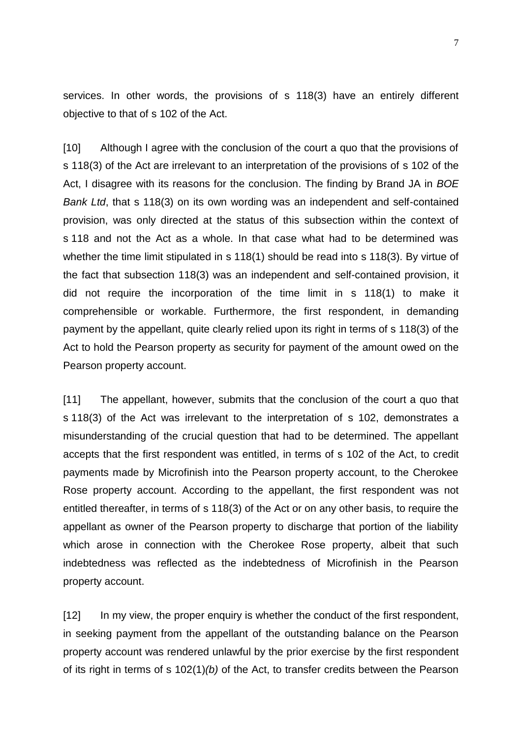services. In other words, the provisions of s 118(3) have an entirely different objective to that of s 102 of the Act.

[10] Although I agree with the conclusion of the court a quo that the provisions of s 118(3) of the Act are irrelevant to an interpretation of the provisions of s 102 of the Act, I disagree with its reasons for the conclusion. The finding by Brand JA in *BOE Bank Ltd*, that s 118(3) on its own wording was an independent and self-contained provision, was only directed at the status of this subsection within the context of s 118 and not the Act as a whole. In that case what had to be determined was whether the time limit stipulated in s 118(1) should be read into s 118(3). By virtue of the fact that subsection 118(3) was an independent and self-contained provision, it did not require the incorporation of the time limit in s 118(1) to make it comprehensible or workable. Furthermore, the first respondent, in demanding payment by the appellant, quite clearly relied upon its right in terms of s 118(3) of the Act to hold the Pearson property as security for payment of the amount owed on the Pearson property account.

[11] The appellant, however, submits that the conclusion of the court a quo that s 118(3) of the Act was irrelevant to the interpretation of s 102, demonstrates a misunderstanding of the crucial question that had to be determined. The appellant accepts that the first respondent was entitled, in terms of s 102 of the Act, to credit payments made by Microfinish into the Pearson property account, to the Cherokee Rose property account. According to the appellant, the first respondent was not entitled thereafter, in terms of s 118(3) of the Act or on any other basis, to require the appellant as owner of the Pearson property to discharge that portion of the liability which arose in connection with the Cherokee Rose property, albeit that such indebtedness was reflected as the indebtedness of Microfinish in the Pearson property account.

[12] In my view, the proper enquiry is whether the conduct of the first respondent, in seeking payment from the appellant of the outstanding balance on the Pearson property account was rendered unlawful by the prior exercise by the first respondent of its right in terms of s 102(1)*(b)* of the Act, to transfer credits between the Pearson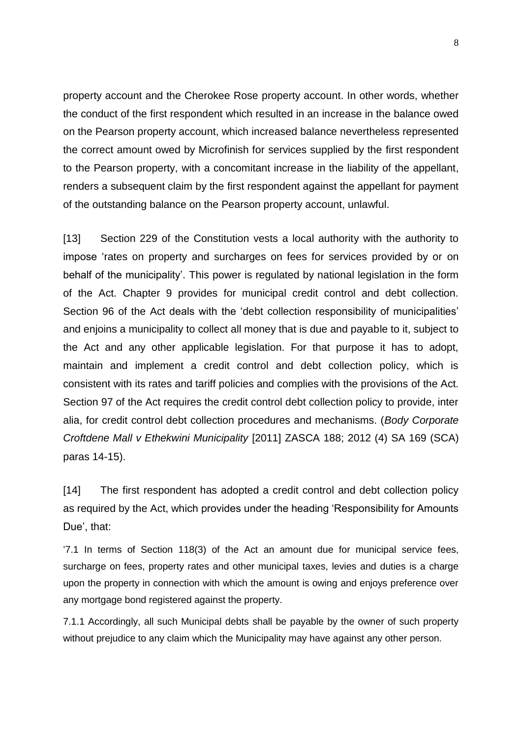property account and the Cherokee Rose property account. In other words, whether the conduct of the first respondent which resulted in an increase in the balance owed on the Pearson property account, which increased balance nevertheless represented the correct amount owed by Microfinish for services supplied by the first respondent to the Pearson property, with a concomitant increase in the liability of the appellant, renders a subsequent claim by the first respondent against the appellant for payment of the outstanding balance on the Pearson property account, unlawful.

[13] Section 229 of the Constitution vests a local authority with the authority to impose 'rates on property and surcharges on fees for services provided by or on behalf of the municipality'. This power is regulated by national legislation in the form of the Act. Chapter 9 provides for municipal credit control and debt collection. Section 96 of the Act deals with the 'debt collection responsibility of municipalities' and enjoins a municipality to collect all money that is due and payable to it, subject to the Act and any other applicable legislation. For that purpose it has to adopt, maintain and implement a credit control and debt collection policy, which is consistent with its rates and tariff policies and complies with the provisions of the Act. Section 97 of the Act requires the credit control debt collection policy to provide, inter alia, for credit control debt collection procedures and mechanisms. (*Body Corporate Croftdene Mall v Ethekwini Municipality* [2011] ZASCA 188; 2012 (4) SA 169 (SCA) paras 14-15).

[14] The first respondent has adopted a credit control and debt collection policy as required by the Act, which provides under the heading 'Responsibility for Amounts Due', that:

'7.1 In terms of Section 118(3) of the Act an amount due for municipal service fees, surcharge on fees, property rates and other municipal taxes, levies and duties is a charge upon the property in connection with which the amount is owing and enjoys preference over any mortgage bond registered against the property.

7.1.1 Accordingly, all such Municipal debts shall be payable by the owner of such property without prejudice to any claim which the Municipality may have against any other person.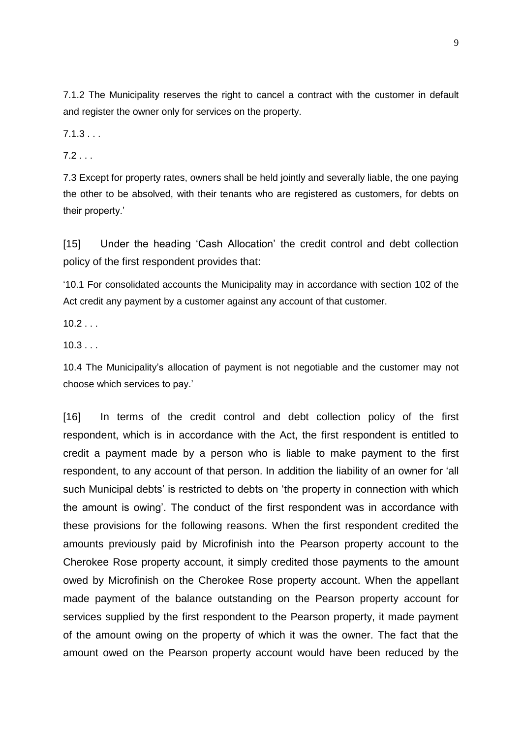7.1.2 The Municipality reserves the right to cancel a contract with the customer in default and register the owner only for services on the property.

 $7.1.3...$ 

 $7.2...$ 

7.3 Except for property rates, owners shall be held jointly and severally liable, the one paying the other to be absolved, with their tenants who are registered as customers, for debts on their property.'

[15] Under the heading 'Cash Allocation' the credit control and debt collection policy of the first respondent provides that:

'10.1 For consolidated accounts the Municipality may in accordance with section 102 of the Act credit any payment by a customer against any account of that customer.

 $10.2...$ 

 $10.3...$ 

10.4 The Municipality's allocation of payment is not negotiable and the customer may not choose which services to pay.'

[16] In terms of the credit control and debt collection policy of the first respondent, which is in accordance with the Act, the first respondent is entitled to credit a payment made by a person who is liable to make payment to the first respondent, to any account of that person. In addition the liability of an owner for 'all such Municipal debts' is restricted to debts on 'the property in connection with which the amount is owing'. The conduct of the first respondent was in accordance with these provisions for the following reasons. When the first respondent credited the amounts previously paid by Microfinish into the Pearson property account to the Cherokee Rose property account, it simply credited those payments to the amount owed by Microfinish on the Cherokee Rose property account. When the appellant made payment of the balance outstanding on the Pearson property account for services supplied by the first respondent to the Pearson property, it made payment of the amount owing on the property of which it was the owner. The fact that the amount owed on the Pearson property account would have been reduced by the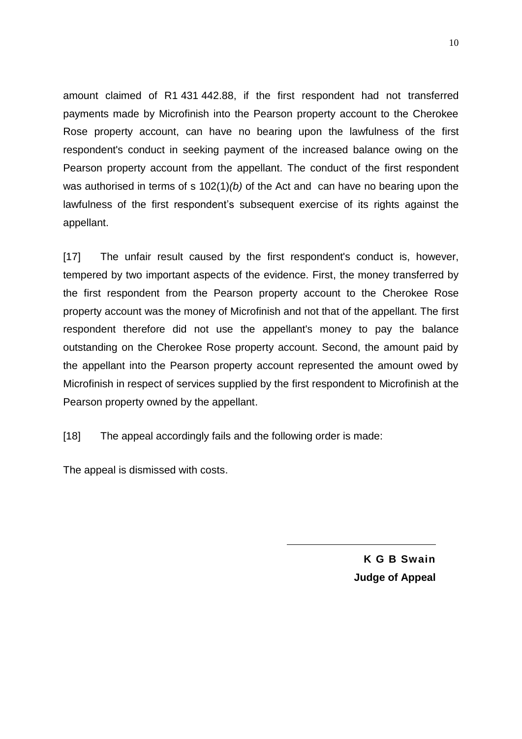amount claimed of R1 431 442.88, if the first respondent had not transferred payments made by Microfinish into the Pearson property account to the Cherokee Rose property account, can have no bearing upon the lawfulness of the first respondent's conduct in seeking payment of the increased balance owing on the Pearson property account from the appellant. The conduct of the first respondent was authorised in terms of s 102(1)*(b)* of the Act and can have no bearing upon the lawfulness of the first respondent's subsequent exercise of its rights against the appellant.

[17] The unfair result caused by the first respondent's conduct is, however, tempered by two important aspects of the evidence. First, the money transferred by the first respondent from the Pearson property account to the Cherokee Rose property account was the money of Microfinish and not that of the appellant. The first respondent therefore did not use the appellant's money to pay the balance outstanding on the Cherokee Rose property account. Second, the amount paid by the appellant into the Pearson property account represented the amount owed by Microfinish in respect of services supplied by the first respondent to Microfinish at the Pearson property owned by the appellant.

[18] The appeal accordingly fails and the following order is made:

The appeal is dismissed with costs.

**K G B Swain Judge of Appeal**